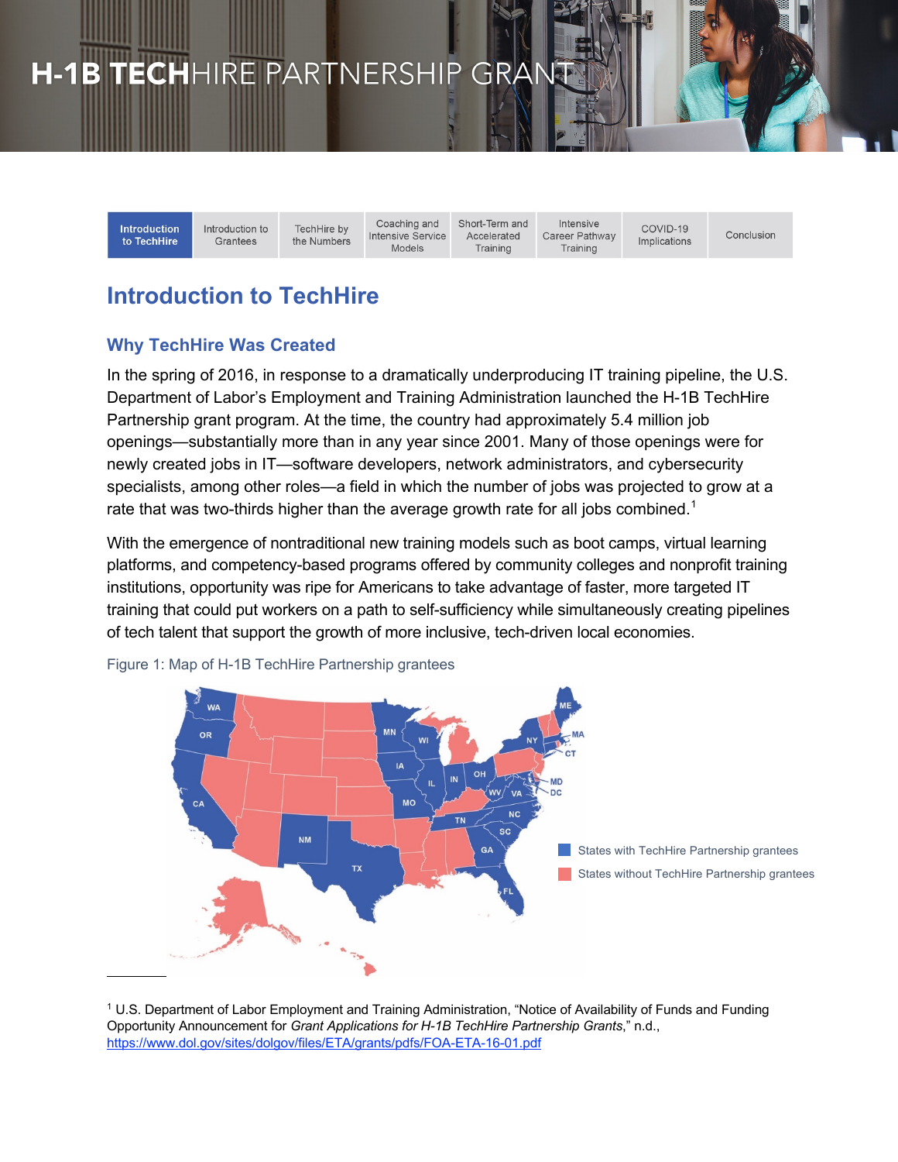## H-1B TECHHIRE PARTNERSHIP GRANT

**Introduction** to TechHire

Introduction to TechHire by Grantees the Numbers

Coaching and **Intensive Service** Models

Short-Term and Accelerated Training

Intensive Career Pathway Training

COVID-19 Implications

Conclusion

## **Introduction to TechHire**

## **Why TechHire Was Created**

In the spring of 2016, in response to a dramatically underproducing IT training pipeline, the U.S. Department of Labor's Employment and Training Administration launched the H-1B TechHire Partnership grant program. At the time, the country had approximately 5.4 million job openings—substantially more than in any year since 2001. Many of those openings were for newly created jobs in IT—software developers, network administrators, and cybersecurity specialists, among other roles—a field in which the number of jobs was projected to grow at a rate that was two-thirds higher than the average growth rate for all jobs combined.<sup>1</sup>

With the emergence of nontraditional new training models such as boot camps, virtual learning platforms, and competency-based programs offered by community colleges and nonprofit training institutions, opportunity was ripe for Americans to take advantage of faster, more targeted IT training that could put workers on a path to self-sufficiency while simultaneously creating pipelines of tech talent that support the growth of more inclusive, tech-driven local economies.



Figure 1: Map of H-1B TechHire Partnership grantees

<sup>1</sup> U.S. Department of Labor Employment and Training Administration, "Notice of Availability of Funds and Funding Opportunity Announcement for *Grant Applications for H-1B TechHire Partnership Grants*," n.d., https://www.dol.gov/sites/dolgov/files/ETA/grants/pdfs/FOA-ETA-16-01.pdf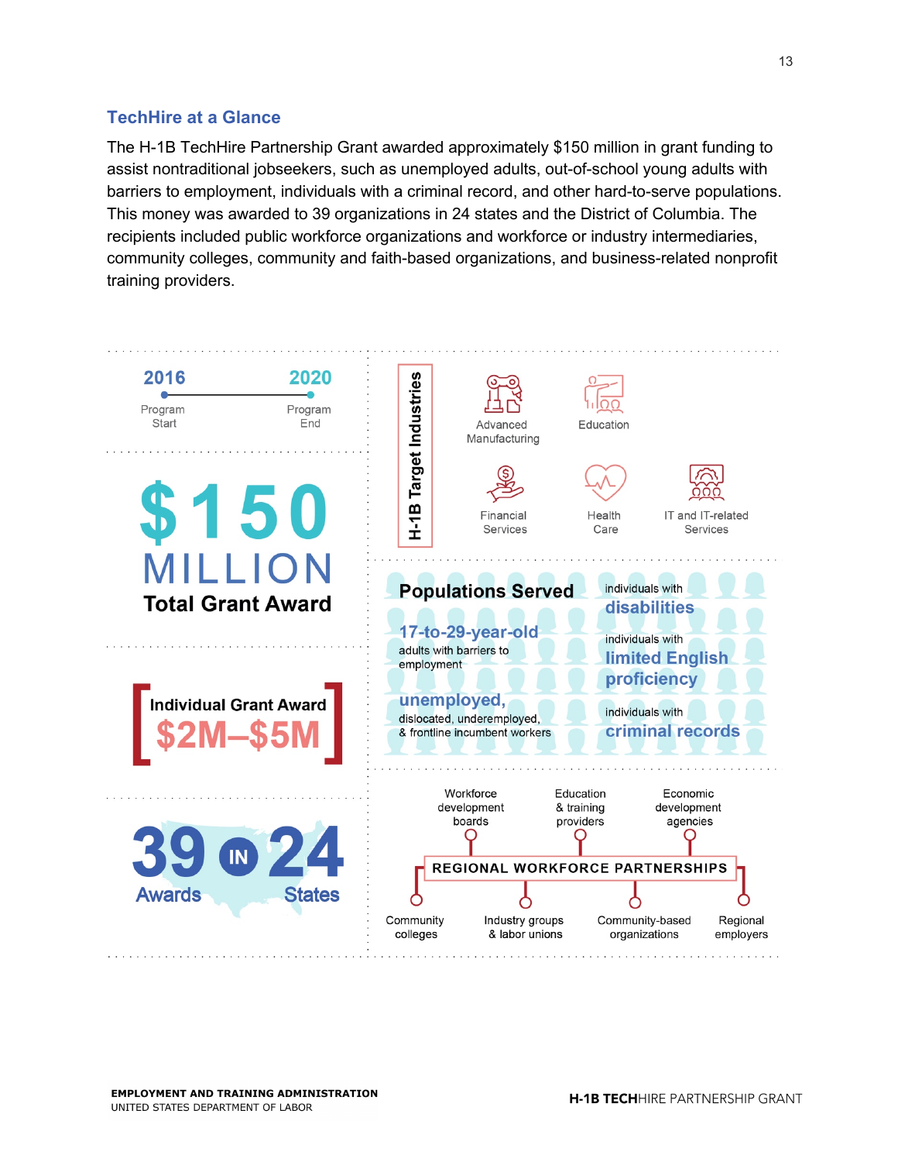## **TechHire at a Glance**

The H-1B TechHire Partnership Grant awarded approximately \$150 million in grant funding to assist nontraditional jobseekers, such as unemployed adults, out-of-school young adults with barriers to employment, individuals with a criminal record, and other hard-to-serve populations. This money was awarded to 39 organizations in 24 states and the District of Columbia. The recipients included public workforce organizations and workforce or industry intermediaries, community colleges, community and faith-based organizations, and business-related nonprofit training providers.